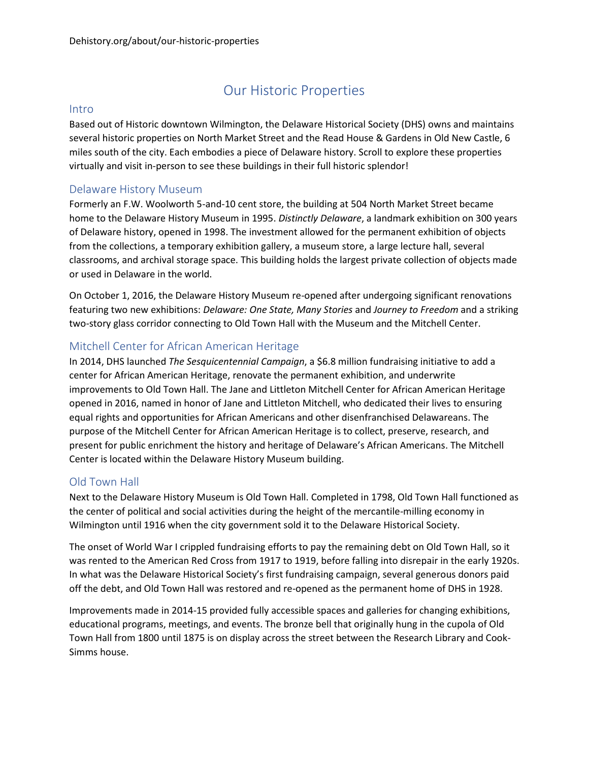# Our Historic Properties

#### Intro

Based out of Historic downtown Wilmington, the Delaware Historical Society (DHS) owns and maintains several historic properties on North Market Street and the Read House & Gardens in Old New Castle, 6 miles south of the city. Each embodies a piece of Delaware history. Scroll to explore these properties virtually and visit in-person to see these buildings in their full historic splendor!

#### Delaware History Museum

Formerly an F.W. Woolworth 5-and-10 cent store, the building at 504 North Market Street became home to the Delaware History Museum in 1995. *Distinctly Delaware*, a landmark exhibition on 300 years of Delaware history, opened in 1998. The investment allowed for the permanent exhibition of objects from the collections, a temporary exhibition gallery, a museum store, a large lecture hall, several classrooms, and archival storage space. This building holds the largest private collection of objects made or used in Delaware in the world.

On October 1, 2016, the Delaware History Museum re-opened after undergoing significant renovations featuring two new exhibitions: *Delaware: One State, Many Stories* and *Journey to Freedom* and a striking two-story glass corridor connecting to Old Town Hall with the Museum and the Mitchell Center.

# Mitchell Center for African American Heritage

In 2014, DHS launched *The Sesquicentennial Campaign*, a \$6.8 million fundraising initiative to add a center for African American Heritage, renovate the permanent exhibition, and underwrite improvements to Old Town Hall. The Jane and Littleton Mitchell Center for African American Heritage opened in 2016, named in honor of Jane and Littleton Mitchell, who dedicated their lives to ensuring equal rights and opportunities for African Americans and other disenfranchised Delawareans. The purpose of the Mitchell Center for African American Heritage is to collect, preserve, research, and present for public enrichment the history and heritage of Delaware's African Americans. The Mitchell Center is located within the Delaware History Museum building.

# Old Town Hall

Next to the Delaware History Museum is Old Town Hall. Completed in 1798, Old Town Hall functioned as the center of political and social activities during the height of the mercantile-milling economy in Wilmington until 1916 when the city government sold it to the Delaware Historical Society.

The onset of World War I crippled fundraising efforts to pay the remaining debt on Old Town Hall, so it was rented to the American Red Cross from 1917 to 1919, before falling into disrepair in the early 1920s. In what was the Delaware Historical Society's first fundraising campaign, several generous donors paid off the debt, and Old Town Hall was restored and re-opened as the permanent home of DHS in 1928.

Improvements made in 2014-15 provided fully accessible spaces and galleries for changing exhibitions, educational programs, meetings, and events. The bronze bell that originally hung in the cupola of Old Town Hall from 1800 until 1875 is on display across the street between the Research Library and Cook-Simms house.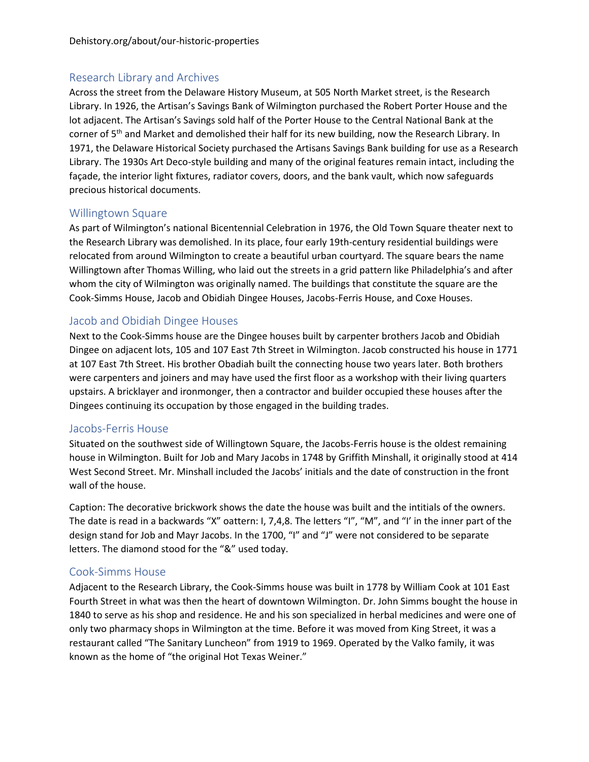# Research Library and Archives

Across the street from the Delaware History Museum, at 505 North Market street, is the Research Library. In 1926, the Artisan's Savings Bank of Wilmington purchased the Robert Porter House and the lot adjacent. The Artisan's Savings sold half of the Porter House to the Central National Bank at the corner of 5<sup>th</sup> and Market and demolished their half for its new building, now the Research Library. In 1971, the Delaware Historical Society purchased the Artisans Savings Bank building for use as a Research Library. The 1930s Art Deco-style building and many of the original features remain intact, including the façade, the interior light fixtures, radiator covers, doors, and the bank vault, which now safeguards precious historical documents.

#### Willingtown Square

As part of Wilmington's national Bicentennial Celebration in 1976, the Old Town Square theater next to the Research Library was demolished. In its place, four early 19th-century residential buildings were relocated from around Wilmington to create a beautiful urban courtyard. The square bears the name Willingtown after Thomas Willing, who laid out the streets in a grid pattern like Philadelphia's and after whom the city of Wilmington was originally named. The buildings that constitute the square are the Cook-Simms House, Jacob and Obidiah Dingee Houses, Jacobs-Ferris House, and Coxe Houses.

# Jacob and Obidiah Dingee Houses

Next to the Cook-Simms house are the Dingee houses built by carpenter brothers Jacob and Obidiah Dingee on adjacent lots, 105 and 107 East 7th Street in Wilmington. Jacob constructed his house in 1771 at 107 East 7th Street. His brother Obadiah built the connecting house two years later. Both brothers were carpenters and joiners and may have used the first floor as a workshop with their living quarters upstairs. A bricklayer and ironmonger, then a contractor and builder occupied these houses after the Dingees continuing its occupation by those engaged in the building trades.

#### Jacobs-Ferris House

Situated on the southwest side of Willingtown Square, the Jacobs-Ferris house is the oldest remaining house in Wilmington. Built for Job and Mary Jacobs in 1748 by Griffith Minshall, it originally stood at 414 West Second Street. Mr. Minshall included the Jacobs' initials and the date of construction in the front wall of the house.

Caption: The decorative brickwork shows the date the house was built and the intitials of the owners. The date is read in a backwards "X" oattern: I, 7,4,8. The letters "I", "M", and "I' in the inner part of the design stand for Job and Mayr Jacobs. In the 1700, "I" and "J" were not considered to be separate letters. The diamond stood for the "&" used today.

# Cook-Simms House

Adjacent to the Research Library, the Cook-Simms house was built in 1778 by William Cook at 101 East Fourth Street in what was then the heart of downtown Wilmington. Dr. John Simms bought the house in 1840 to serve as his shop and residence. He and his son specialized in herbal medicines and were one of only two pharmacy shops in Wilmington at the time. Before it was moved from King Street, it was a restaurant called "The Sanitary Luncheon" from 1919 to 1969. Operated by the Valko family, it was known as the home of "the original Hot Texas Weiner."